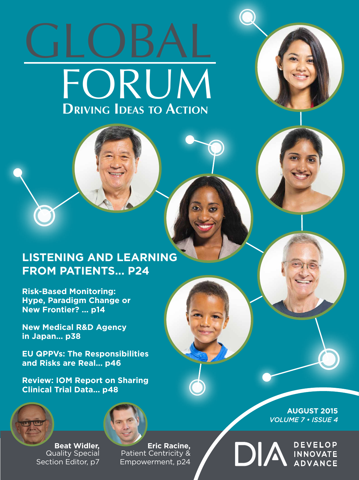# GLOBAL FORUM **Driving Ideas to Action**



### **LISTENING AND LEARNING FROM PATIENTS... P24**

**Risk-Based Monitoring: Hype, Paradigm Change or New Frontier? ... p14**

**New Medical R&D Agency in Japan... p38**

**EU QPPVs: The Responsibilities and Risks are Real... p46**

**Review: IOM Report on Sharing Clinical Trial Data... p48**





**Beat Widler,**  Quality Special Section Editor, p7

**Eric Racine,**  Patient Centricity & Empowerment, p24

**AUGUST 2015** *VOLUME 7 • ISSUE 4*

**DEVELOP** 

DIA INNOVATE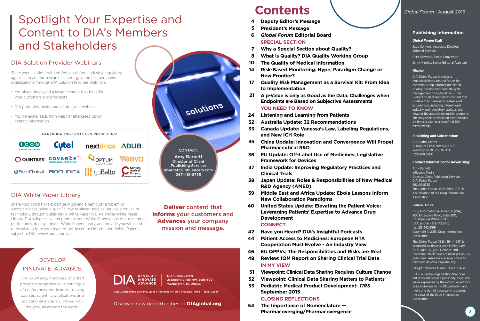#### *Global Forum* **Staff**

Judy Connors, Associate Director, Editorial Services

Chris Slawecki, Senior Copywriter

Jenny Kimbel, Senior Editorial Assistant

#### **Mission**

DIA *Global Forum* provides a multidisciplinary, neutral forum for communicating information related to drug development and life cycle management on a global basis. The *Global Forum* disseminates content that is relevant to members' professional experiences, including international industry and regulatory updates and news of the association and its programs. The magazine is circulated electronically six times a year as a benefit of DIA membership.

#### **Publishing and Subscription:**

DIA Global Center 21 Dupont Circle NW, Suite 300 Washington DC 20036 USA 1.202.601.8900

#### **Contact Information for Advertising:**

Amy Barnett Influence Media Director, Client Publishing Services DIA *Global Forum* 267.419.8735 The *Global Forum* (ISSN: 1944-1991) is a publication of the Drug Information Association.

#### Editorial Office:

Drug Information Association (DIA), 800 Enterprise Road, Suite 200, Horsham, PA 19044-3595, USA; phone - 215.442.6100; fax: 215.442.6199. Copyright © 2015, Drug Information Association.

The *Global Forum* (ISSN: 1944-1991) is produced six times a year, in February, April, June, August, October, and December. Back issues of most previously published issues are available online for members at www.diaglobal.org.

Design: Influence Media - 267.419.8734

DIA is a neutral organization that does not advocate for or against any issue. The views expressed by the individual authors or interviewees in the *Global Forum* are theirs and do not necessarily represent the views of the Drug Information Association.

#### **Publishing Information**

### **Contents** *Global Forum* | August 2015

- **Deputy Editor's Message 4**
- **President's Message 5**
- *Global Forum* **Editorial Board SPECIAL SECTION 6**
- **Why a Special Section about Quality? 7**
- **What is Quality? DIA Quality Working Group 8**
- **The Quality of Medical Information 10**
- **Risk-Based Monitoring: Hype, Paradigm Change or New Frontier? 14**
- **Quality Risk Management as a Survival Kit: From Idea to Implementation 17**
- **A p-Value is only as Good as the Data: Challenges when Endpoints are Based on Subjective Assessments YOU NEED TO KNOW 21**
- **Listening and Learning from Patients 24**
- **Australia Update: 32 Recommendations 32**
- **Canada Update: Vanessa's Law, Labeling Regulations, and New ICH Role 33**
- **China Update: Innovation and Convergence Will Propel Pharmaceutical R&D 35**
- **EU Update: Off-Label Use of Medicines; Legislative Framework for Devices 36**
- **India Update: Improving Regulatory Practices and Clinical Trials 37**
- **Japan Update: Roles & Responsibilities of New Medical R&D Agency (AMED) 38**
- **Middle East and Africa Update: Ebola Lessons Inform New Collaboration Paradigms 39**
- **United States Update: Elevating the Patient Voice: Leveraging Patients' Expertise to Advance Drug Development 40**

#### **CONNECT**

- **Have you Heard? DIA's Insightful Podcasts 42**
- **Patient Access to Medicines: European HTA Cooperation Must Evolve - An Industry View 44**
- **EU QPPVs: The Responsibilities and Risks are Real 46**
- **Review: IOM Report on Sharing Clinical Trial Data IN MY VIEW 48**
- **Viewpoint: Clinical Data Sharing Requires Culture Change 51**
- **Viewpoint: Clinical Data Sharing Matters to Patients 52**
- **Pediatric Medical Product Development:** *TIRS* **September 2015 53**
	- **CLOSING REFLECTIONS**
- **The Importance of Nomenclature Pharmacoverging/Pharmacovergence 54**

Basel, Switzerland | Beijing, China | Horsham, PA, USA | Mumbai, India | Tokyo, Japan



Discover new opportunities at **DIAglobal.org**

## INNOVATE. ADVANCE.

DIA volunteers, members, and staff provide a comprehensive catalogue of conferences, workshops, training courses, scientific publications and educational materials, throughout the year, all around the world.

CONTACT: Amy Barnett Director of Client Publishing Services abarnett@influencem.com 267-419-8735

solutions

#### DIA Solution Provider Webinars

Share your solutions with professionals from industry, regulatory agencies, academic research centers, government, and patient organizations, through DIA Solution Provider Webinars:

- You share timely and relevant content that benefits your customers and prospects
- DIA promotes, hosts, and records your webinar
- You generate leads from webinar attendees' opt-in contact information

### Spotlight Your Expertise and Content to DIA's Members and Stakeholders

Deliver content that Informs your customers and Advances your company mission and message.



#### DIA White Paper Library

Share your company's expertise in solving a particular problem or success in developing a specific new business practice, service, product, or technology through publishing a White Paper in DIA's online White Paper Library. DIA will preview and promote your White Paper in one of our member publications, deploy it in our White Paper Library, and provide you with lead retrieval data from your readers' opt-in contact information. White Papers subject to DIA review and approval.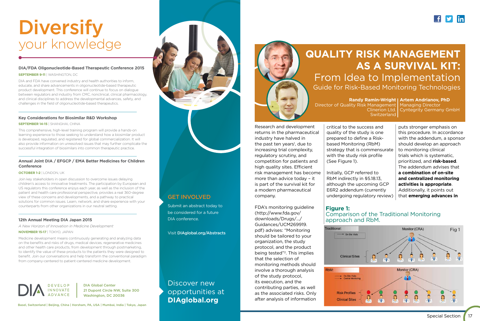

Research and development returns in the pharmaceutical industry have halved in the past ten years 1 , due to increasing trial complexity, regulatory scrutiny, and competition for patients and high quality sites. Efficient risk management has become more than advice today – it is part of the survival kit for a modern pharmaceutical company.

FDA's monitoring guideline (http://www.fda.gov/ downloads/Drugs/.../ Guidances/UCM269919. pdf) advises: "Monitoring should be tailored to your organization, the study protocol, and the product being tested" 2. This implies that the selection of monitoring methods should involve a thorough analysis of the study protocol, its execution, and the contributing parties, as well as the associated risks. Only after analysis of information Clinerion Ltd. **Switzerland** 

**Randy Ramin-Wright | Artem Andrianov, PhD** Managing Director Cyntegrity Germany GmbH

critical to the success and quality of the study is one prepared to define a Riskbased Monitoring (RbM) strategy that is commensurate with the study risk profile (See Figure 1).

Initially, GCP referred to RbM indirectly in §5.18.13, although the upcoming GCP E6R2 addendum (currently undergoing regulatory review)

puts stronger emphasis on this procedure. In accordance with the addendum, a sponsor should develop an approach to monitoring clinical trials which is systematic, prioritized, and **risk-based**. The addendum advises that **a combination of on-site and centralized monitoring activities is appropriate**. Additionally, it points out that **emerging advances in** 

### **QUALITY RISK MANAGEMENT AS A SURVIVAL KIT:** From Idea to Implementation Guide for Risk-Based Monitoring Technologies

Director of Quality Risk Management





## Comparison of the Traditional Monitoring

### **Figure 1:**  approach and RbM.

DIA Global Center 21 Dupont Circle NW, Suite 300 Washington, DC 20036

Basel, Switzerland | Beijing, China | Horsham, PA, USA | Mumbai, India | Tokyo, Japan

Discover new opportunities at **DIAglobal.org**



## **Diversify** your knowledge

#### **DIA/FDA Oligonucleotide-Based Therapeutic Conference 2015**

#### **SEPTEMBER 9-11** | WASHINGTON, DC

DIA and FDA have convened industry and health authorities to inform, educate, and share advancements in oligonucleotide-based therapeutic product development. This conference will continue to focus on dialogue between regulators and industry from CMC, nonclinical, clinical pharmacology, and clinical disciplines to address the developmental advances, safety, and challenges in the field of oligonucleotide-based therapeutics.

#### **Key Considerations for Biosimilar R&D Workshop**

#### **SEPTEMBER 14-15** | SHANGHAI, CHINA

 $\overline{a}$ 

 $\overline{a}$ 

 $\overline{a}$ 

This comprehensive, high-level training program will provide a hands-on learning experience to those seeking to understand how a biosimilar product is developed, regulated, and registered for global commercialization. It will also provide information on unresolved issues that may further complicate the successful integration of biosimilars into common therapeutic practice.

#### **Annual Joint DIA / EFGCP / EMA Better Medicines for Children Conference**

#### **OCTOBER 1-2** | LONDON, UK

Join key stakeholders in open discussion to overcome issues delaying children's access to innovative treatments. The participation by European and US regulators this conference enjoys each year, as well as the inclusion of the patient and health care professional perspective, provides a real 360-degree view of these concerns and developments, and a pathway to practical solutions for common issues. Learn, network, and share experience with your counterparts from other organizations in our neutral setting.

#### **12th Annual Meeting DIA Japan 2015**

*A New Horizon of Innovation in Medicine Development*

#### **NOVEMBER 15-17** | TOKYO, JAPAN

Medicine development means continuously generating and analyzing data on the benefits and risks of drugs, medical devices, regenerative medicines and other health care products, from development through postmarketing, to identify the value of these products to the patients they were designed to benefit. Join our conversations and help transform the conventional paradigm from company-centered to patient-centered medicine development.



#### GET INVOLVED

Submit an abstract today to be considered for a future DIA conference.

Visit DIAglobal.org/Abstracts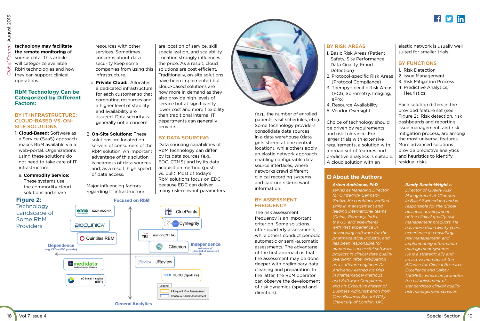#### **technology may facilitate the remote monitoring** of source data. This article will categorize available RbM technologies and how

they can support clinical

operations. **RbM Technology Can be Categorized by Different Factors:**

#### BY IT INFRASTRUCTURE: CLOUD-BASED VS. ON-SITE SOLUTIONS

- 1. **Cloud-Based:** Software as a Service (SaaS) approach makes RbM available via a web-portal. Organizations using these solutions do not need to take care of IT infrastructure.
- a. **Commodity Service:**  These systems use the commodity cloud solutions and share

resources with other services. Sometimes concerns about data security keep some companies from using this infrastructure.

- b. **Private Cloud:** Allocates a dedicated infrastructure for each customer so that computing resources and a higher level of stability and availability are assured. Data security is generally not a concern.
- 2. **On-Site Solutions:** These solutions are located on servers of consumers of the RbM solution. An important advantage of this solution is nearness of data sources and, as a result, high speed of data access.

Major influencing factors regarding IT infrastructure

#### BY ASSESSMENT **FREQUENCY**

are location of service, skill specialization, and scalability. Location strongly influences the price. As a result, cloud solutions are cost efficient. Traditionally, on-site solutions have been implemented but cloud-based solutions are now more in demand as they also provide high levels of service but at significantly lower cost and more flexibility than traditional internal IT departments can generally provide.

#### BY DATA SOURCING

- 1. Risk Detection
- 2. Issue Management
- 3. Risk Mitigation Process
- 4. Predictive Analytics, **Heuristics**

Data sourcing capabilities of RbM technology can differ by its data sources (e.g., EDC, CTMS) and by its data acquisition method (push vs. pull). Most of today's RbM solutions focus on EDC because EDC can deliver many risk-relevant parameters (e.g., the number of enrolled patients, visit schedules, etc.). Some technology providers consolidate data sources in a data warehouse (data gets stored at one central location), while others apply an elastic network approach enabling configurable data source interfaces, where networks crawl different clinical recording systems and capture risk-relevant information.

The risk assessment frequency is an important criterion. Some solutions offer quarterly assessments, while others conduct periodic automatic or semi-automatic assessments. The advantage of the first approach is that the assessment may be done deeper with preliminary data cleaning and preparation. In the latter, the RbM operator can observe the development of risk dynamics (speed and direction).

#### BY RISK AREAS





- 1. Basic Risk Areas (Patient Safety, Site Performance, Data Quality, Fraud Detection)
- 2. Protocol-specific Risk Areas (Protocol Compliance)
- 3. Therapy-specific Risk Areas (ECG, Spirometry, Imaging, ePro)
- 4. Resource Availability
- 5. Vendor Oversight

Choice of technology should be driven by requirements and risk tolerance. For larger trials with extensive requirements, a solution with a broad set of features and predictive analytics is suitable. A cloud solution with an

elastic network is usually well suited for smaller trials.

#### BY FUNCTIONS

Each solution differs in the provided feature set (see Figure 2). Risk detection, risk dashboards and reporting, issue management, and risk mitigation process, are among the most universal features. More advanced solutions provide predictive analytics and heuristics to identify residual risks.

#### **About the Authors**

*Artem Andrianov, PhD, serves as Managing Director for Cyntegrity Germany GmbH. He combines verified skills in management and leading international teams (China, Germany, India, the US, and elsewhere) with vast experience in developing software for the pharmaceutical industry, and has been responsible for numerous successful software projects in clinical data quality oversight. After graduating as a software engineer, Dr. Andrianov earned his PhD in Mathematical Methods and Software Complexes, and his Executive Master of Business Administration from Cass Business School (City University of London, UK).*



*Randy Ramin-Wright is* 

*Director of Quality Risk Management at Clinerion in Basel Switzerland and is responsible for the global business development of the clinical quality risk management products. He has more than twenty years experience in consulting, risk management, and implementing information management systems. He is a strategic ally and an active member of the Alliance for Clinical Research Excellence and Safety (ACRES), where he promotes the establishment of standardized clinical quality risk management services.*